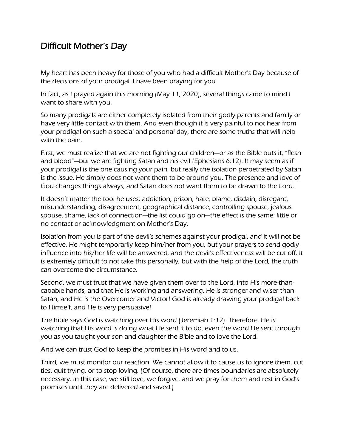## Difficult Mother's Day

My heart has been heavy for those of you who had a difficult Mother's Day because of the decisions of your prodigal. I have been praying for you.

In fact, as I prayed again this morning (May 11, 2020), several things came to mind I want to share with you.

So many prodigals are either completely isolated from their godly parents and family or have very little contact with them. And even though it is very painful to not hear from your prodigal on such a special and personal day, there are some truths that will help with the pain.

First, we must realize that we are not fighting our children—or as the Bible puts it, "flesh and blood"—but we are fighting Satan and his evil (Ephesians 6:12). It may seem as if your prodigal is the one causing your pain, but really the isolation perpetrated by Satan is the issue. He simply does not want them to be around you. The presence and love of God changes things always, and Satan does not want them to be drawn to the Lord.

It doesn't matter the tool he uses: addiction, prison, hate, blame, disdain, disregard, misunderstanding, disagreement, geographical distance, controlling spouse, jealous spouse, shame, lack of connection—the list could go on—the effect is the same: little or no contact or acknowledgment on Mother's Day.

Isolation from you is part of the devil's schemes against your prodigal, and it will not be effective. He might temporarily keep him/her from you, but your prayers to send godly influence into his/her life will be answered, and the devil's effectiveness will be cut off. It is extremely difficult to not take this personally, but with the help of the Lord, the truth can overcome the circumstance.

Second, we must trust that we have given them over to the Lord, into His more-thancapable hands, and that He is working and answering. He is stronger and wiser than Satan, and He is the Overcomer and Victor! God is already drawing your prodigal back to Himself, and He is very persuasive!

The Bible says God is watching over His word (Jeremiah 1:12). Therefore, He is watching that His word is doing what He sent it to do, even the word He sent through you as you taught your son and daughter the Bible and to love the Lord.

And we can trust God to keep the promises in His word and to us.

Third, we must monitor our reaction. We cannot allow it to cause us to ignore them, cut ties, quit trying, or to stop loving. (Of course, there are times boundaries are absolutely necessary. In this case, we still love, we forgive, and we pray for them and rest in God's promises until they are delivered and saved.)